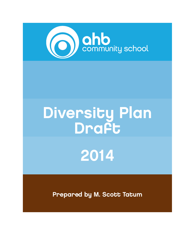

# 2014 Diversity Plan Draft

Prepared by M. Scott Tatum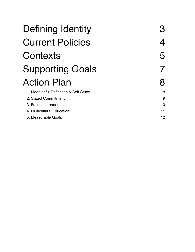| Defining Identity                     | З |
|---------------------------------------|---|
| <b>Current Policies</b>               | 4 |
| Contexts                              | 5 |
| <b>Supporting Goals</b>               |   |
| <b>Action Plan</b>                    | 8 |
| 1. Meaningful Reflection & Self-Study | 8 |

2. Stated Commitment 3. Focused Leadership

4. Multicultural Education

5. Measurable Goals

| З |    |
|---|----|
| 4 |    |
| 5 |    |
| T |    |
| 8 |    |
|   | 8  |
|   | 9  |
|   | 10 |
|   | 11 |
|   | 12 |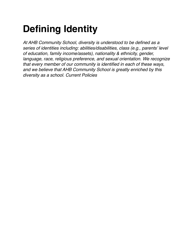# **Defining Identity**

*At AHB Community School, diversity is understood to be defined as a series of identities including: abilities/disabilities, class (e.g., parents' level of education, family income/assets), nationality & ethnicity, gender, language, race, religious preference, and sexual orientation. We recognize that every member of our community is identified in each of these ways, and we believe that AHB Community School is greatly enriched by this diversity as a school. Current Policies*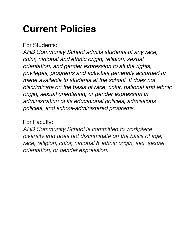# **Current Policies**

For Students:

*AHB Community School admits students of any race, color, national and ethnic origin, religion, sexual orientation, and gender expression to all the rights, privileges, programs and activities generally accorded or made available to students at the school. It does not discriminate on the basis of race, color, national and ethnic origin, sexual orientation, or gender expression in administration of its educational policies, admissions policies, and school-administered programs.*

### For Faculty:

*AHB Community School is committed to workplace diversity and does not discriminate on the basis of age, race, religion, color, national & ethnic origin, sex, sexual orientation, or gender expression.*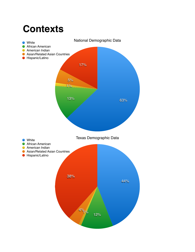# **Contexts**

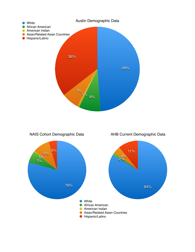

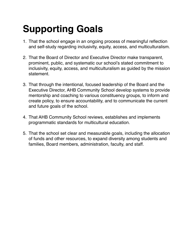# **Supporting Goals**

- 1. That the school engage in an ongoing process of meaningful reflection and self-study regarding inclusivity, equity, access, and multiculturalism.
- 2. That the Board of Director and Executive Director make transparent, prominent, public, and systematic our school's stated commitment to inclusivity, equity, access, and multiculturalism as guided by the mission statement.
- 3. That through the intentional, focused leadership of the Board and the Executive Director, AHB Community School develop systems to provide mentorship and coaching to various constituency groups, to inform and create policy, to ensure accountability, and to communicate the current and future goals of the school.
- 4. That AHB Community School reviews, establishes and implements programmatic standards for multicultural education.
- 5. That the school set clear and measurable goals, including the allocation of funds and other resources, to expand diversity among students and families, Board members, administration, faculty, and staff.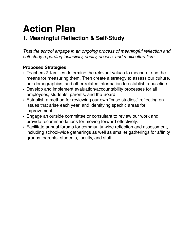## **Action Plan 1. Meaningful Reflection & Self-Study**

*That the school engage in an ongoing process of meaningful reflection and self-study regarding inclusivity, equity, access, and multiculturalism.*

- Teachers & families determine the relevant values to measure, and the means for measuring them. Then create a strategy to assess our culture, our demographics, and other related information to establish a baseline.
- Develop and implement evaluation/accountability processes for all employees, students, parents, and the Board.
- Establish a method for reviewing our own "case studies," reflecting on issues that arise each year, and identifying specific areas for improvement.
- Engage an outside committee or consultant to review our work and provide recommendations for moving forward effectively.
- Facilitate annual forums for community-wide reflection and assessment, including school-wide gatherings as well as smaller gatherings for affinity groups, parents, students, faculty, and staff.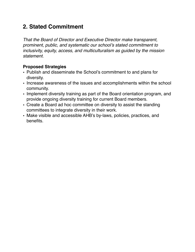### **2. Stated Commitment**

*That the Board of Director and Executive Director make transparent, prominent, public, and systematic our school's stated commitment to inclusivity, equity, access, and multiculturalism as guided by the mission statement.*

- Publish and disseminate the School's commitment to and plans for diversity.
- Increase awareness of the issues and accomplishments within the school community.
- Implement diversity training as part of the Board orientation program, and provide ongoing diversity training for current Board members.
- Create a Board ad hoc committee on diversity to assist the standing committees to integrate diversity in their work.
- Make visible and accessible AHB's by-laws, policies, practices, and benefits.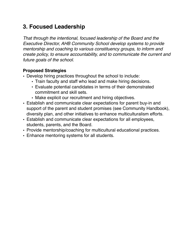### **3. Focused Leadership**

*That through the intentional, focused leadership of the Board and the Executive Director, AHB Community School develop systems to provide mentorship and coaching to various constituency groups, to inform and create policy, to ensure accountability, and to communicate the current and future goals of the school.*

- Develop hiring practices throughout the school to include:
	- Train faculty and staff who lead and make hiring decisions.
	- Evaluate potential candidates in terms of their demonstrated commitment and skill sets.
	- Make explicit our recruitment and hiring objectives.
- Establish and communicate clear expectations for parent buy-in and support of the parent and student promises (see Community Handbook), diversity plan, and other initiatives to enhance multiculturalism efforts.
- Establish and communicate clear expectations for all employees, students, parents, and the Board.
- Provide mentorship/coaching for multicultural educational practices.
- Enhance mentoring systems for all students.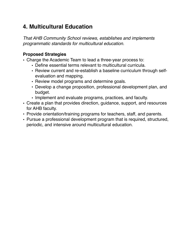### **4. Multicultural Education**

*That AHB Community School reviews, establishes and implements programmatic standards for multicultural education.*

- Charge the Academic Team to lead a three-year process to:
	- Define essential terms relevant to multicultural curricula.
	- Review current and re-establish a baseline curriculum through selfevaluation and mapping.
	- Review model programs and determine goals.
	- Develop a change proposition, professional development plan, and budget.
	- Implement and evaluate programs, practices, and faculty.
- Create a plan that provides direction, guidance, support, and resources for AHB faculty.
- Provide orientation/training programs for teachers, staff, and parents.
- Pursue a professional development program that is required, structured, periodic, and intensive around multicultural education.